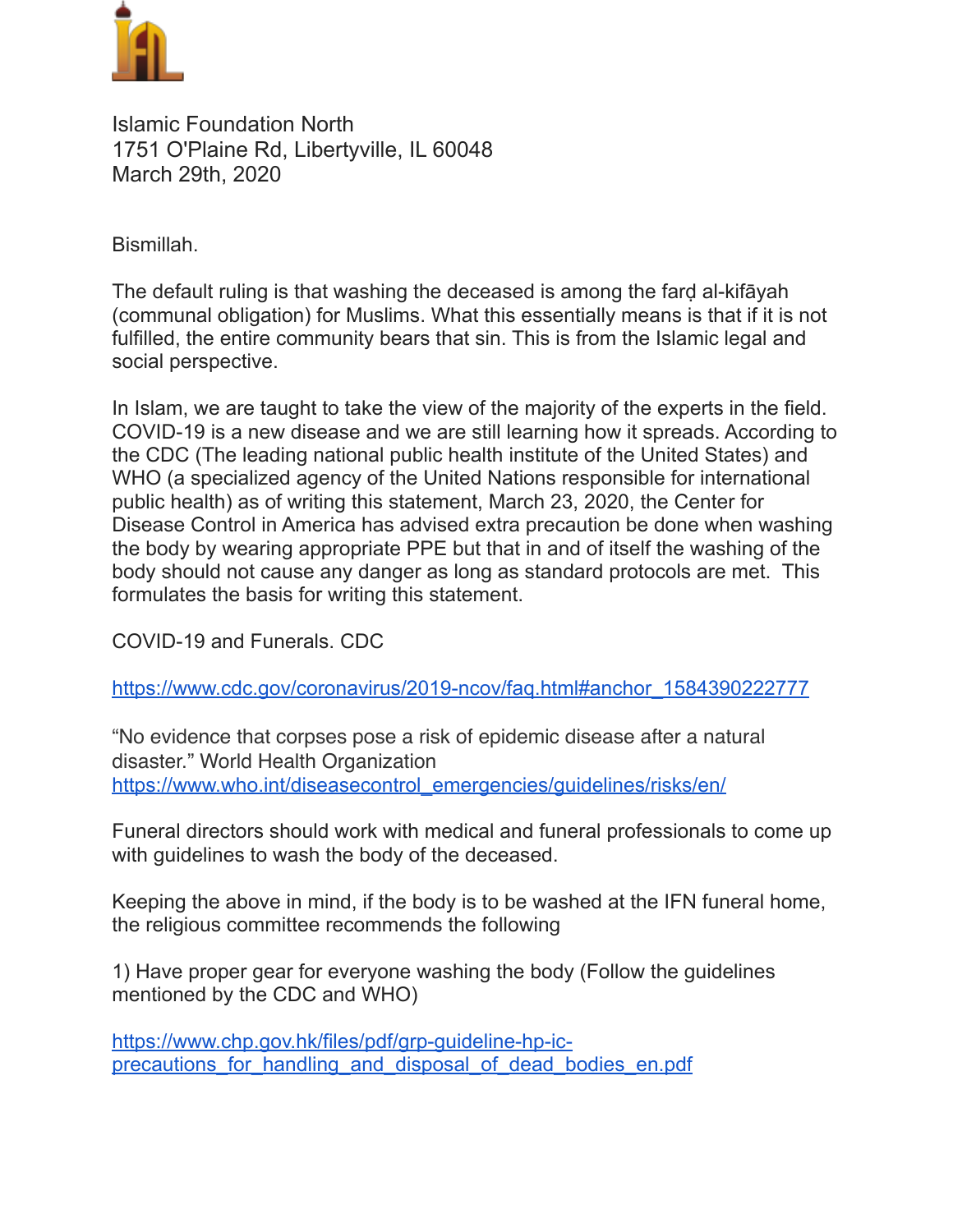

Islamic Foundation North 1751 O'Plaine Rd, Libertyville, IL 60048 March 29th, 2020

Bismillah.

The default ruling is that washing the deceased is among the farḍ al-kifāyah (communal obligation) for Muslims. What this essentially means is that if it is not fulfilled, the entire community bears that sin. This is from the Islamic legal and social perspective.

In Islam, we are taught to take the view of the majority of the experts in the field. COVID-19 is a new disease and we are still learning how it spreads. According to the CDC (The leading national public health institute of the United States) and WHO (a specialized agency of the United Nations responsible for international public health) as of writing this statement, March 23, 2020, the Center for Disease Control in America has advised extra precaution be done when washing the body by wearing appropriate PPE but that in and of itself the washing of the body should not cause any danger as long as standard protocols are met. This formulates the basis for writing this statement.

COVID-19 and Funerals. CDC

[https://www.cdc.gov/coronavirus/2019-ncov/faq.html#anchor\\_1584390222777](https://www.cdc.gov/coronavirus/2019-ncov/faq.html#anchor_1584390222777)

"No evidence that corpses pose a risk of epidemic disease after a natural disaster." World Health Organization [https://www.who.int/diseasecontrol\\_emergencies/guidelines/risks/en/](https://www.who.int/diseasecontrol_emergencies/guidelines/risks/en/)

Funeral directors should work with medical and funeral professionals to come up with guidelines to wash the body of the deceased.

Keeping the above in mind, if the body is to be washed at the IFN funeral home, the religious committee recommends the following

1) Have proper gear for everyone washing the body (Follow the guidelines mentioned by the CDC and WHO)

https://www.chp.gov.hk/files/pdf/grp-guideline-hp-icprecautions for handling and disposal of dead bodies en.pdf